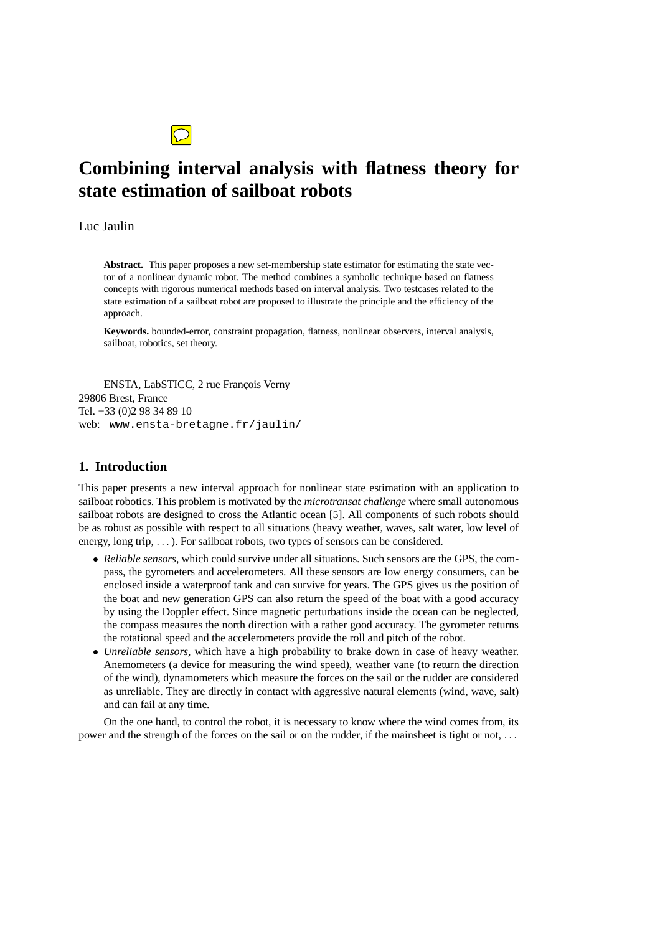# **Combining interval analysis with flatness theory for state estimation of sailboat robots**

Luc Jaulin

**Abstract.** This paper proposes a new set-membership state estimator for estimating the state vector of a nonlinear dynamic robot. The method combines a symbolic technique based on flatness concepts with rigorous numerical methods based on interval analysis. Two testcases related to the state estimation of a sailboat robot are proposed to illustrate the principle and the efficiency of the approach.

**Keywords.** bounded-error, constraint propagation, flatness, nonlinear observers, interval analysis, sailboat, robotics, set theory.

ENSTA, LabSTICC, 2 rue François Verny 29806 Brest, France Tel. +33 (0)2 98 34 89 10 web: www.ensta-bretagne.fr/jaulin/

 $\overline{C}$ 

## **1. Introduction**

This paper presents a new interval approach for nonlinear state estimation with an application to sailboat robotics. This problem is motivated by the *microtransat challenge* where small autonomous sailboat robots are designed to cross the Atlantic ocean [5]. All components of such robots should be as robust as possible with respect to all situations (heavy weather, waves, salt water, low level of energy, long trip, ...). For sailboat robots, two types of sensors can be considered.

- *Reliable sensors,* which could survive under all situations. Such sensors are the GPS, the compass, the gyrometers and accelerometers. All these sensors are low energy consumers, can be enclosed inside a waterproof tank and can survive for years. The GPS gives us the position of the boat and new generation GPS can also return the speed of the boat with a good accuracy by using the Doppler effect. Since magnetic perturbations inside the ocean can be neglected, the compass measures the north direction with a rather good accuracy. The gyrometer returns the rotational speed and the accelerometers provide the roll and pitch of the robot.
- *Unreliable sensors,* which have a high probability to brake down in case of heavy weather. Anemometers (a device for measuring the wind speed), weather vane (to return the direction of the wind), dynamometers which measure the forces on the sail or the rudder are considered as unreliable. They are directly in contact with aggressive natural elements (wind, wave, salt) and can fail at any time.

On the one hand, to control the robot, it is necessary to know where the wind comes from, its power and the strength of the forces on the sail or on the rudder, if the mainsheet is tight or not, . . .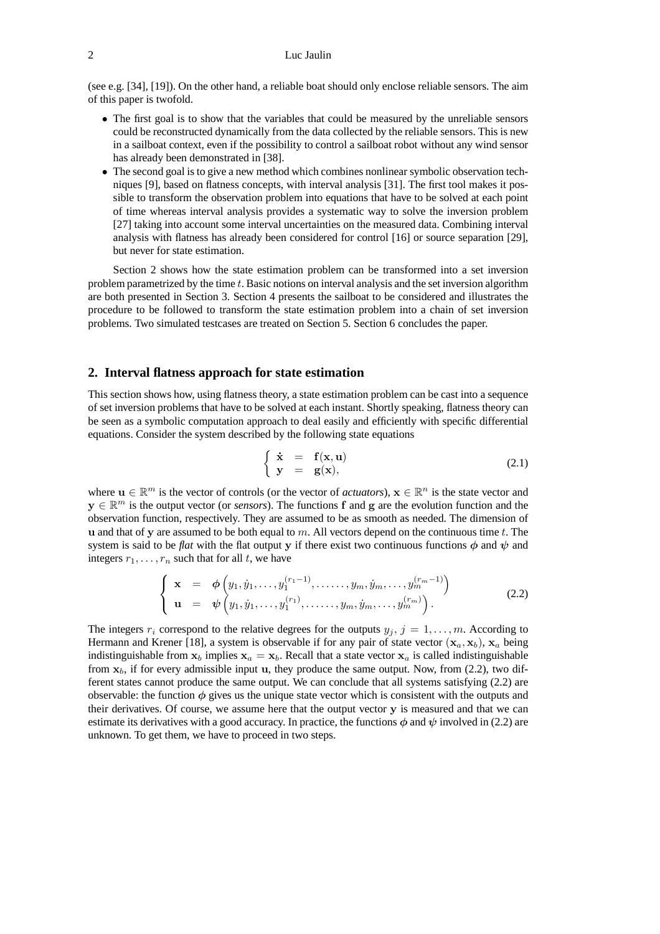(see e.g. [34], [19]). On the other hand, a reliable boat should only enclose reliable sensors. The aim of this paper is twofold.

- The first goal is to show that the variables that could be measured by the unreliable sensors could be reconstructed dynamically from the data collected by the reliable sensors. This is new in a sailboat context, even if the possibility to control a sailboat robot without any wind sensor has already been demonstrated in [38].
- The second goal is to give a new method which combines nonlinear symbolic observation techniques [9], based on flatness concepts, with interval analysis [31]. The first tool makes it possible to transform the observation problem into equations that have to be solved at each point of time whereas interval analysis provides a systematic way to solve the inversion problem [27] taking into account some interval uncertainties on the measured data. Combining interval analysis with flatness has already been considered for control [16] or source separation [29], but never for state estimation.

Section 2 shows how the state estimation problem can be transformed into a set inversion problem parametrized by the time  $t$ . Basic notions on interval analysis and the set inversion algorithm are both presented in Section 3. Section 4 presents the sailboat to be considered and illustrates the procedure to be followed to transform the state estimation problem into a chain of set inversion problems. Two simulated testcases are treated on Section 5. Section 6 concludes the paper.

## **2. Interval flatness approach for state estimation**

This section shows how, using flatness theory, a state estimation problem can be cast into a sequence of set inversion problems that have to be solved at each instant. Shortly speaking, flatness theory can be seen as a symbolic computation approach to deal easily and efficiently with specific differential equations. Consider the system described by the following state equations

$$
\begin{cases} \dot{\mathbf{x}} = \mathbf{f}(\mathbf{x}, \mathbf{u}) \\ \mathbf{y} = \mathbf{g}(\mathbf{x}), \end{cases}
$$
 (2.1)

where  $\mathbf{u} \in \mathbb{R}^m$  is the vector of controls (or the vector of *actuators*),  $\mathbf{x} \in \mathbb{R}^n$  is the state vector and  $y \in \mathbb{R}^m$  is the output vector (or *sensors*). The functions f and g are the evolution function and the observation function, respectively. They are assumed to be as smooth as needed. The dimension of u and that of y are assumed to be both equal to m. All vectors depend on the continuous time  $t$ . The system is said to be *flat* with the flat output y if there exist two continuous functions  $\phi$  and  $\psi$  and integers  $r_1, \ldots, r_n$  such that for all t, we have

$$
\begin{cases}\n\mathbf{x} = \phi(y_1, y_1, \dots, y_1^{(r_1 - 1)}, \dots, y_m, y_m, \dots, y_m^{(r_m - 1)}) \\
\mathbf{u} = \psi(y_1, y_1, \dots, y_1^{(r_1)}, \dots, y_m, y_m, \dots, y_m^{(r_m)})\n\end{cases}
$$
\n(2.2)

The integers  $r_i$  correspond to the relative degrees for the outputs  $y_j$ ,  $j = 1, \ldots, m$ . According to Hermann and Krener [18], a system is observable if for any pair of state vector  $(x_a, x_b)$ ,  $x_a$  being indistinguishable from  $x_b$  implies  $x_a = x_b$ . Recall that a state vector  $x_a$  is called indistinguishable from  $x_b$ , if for every admissible input u, they produce the same output. Now, from (2.2), two different states cannot produce the same output. We can conclude that all systems satisfying (2.2) are observable: the function  $\phi$  gives us the unique state vector which is consistent with the outputs and their derivatives. Of course, we assume here that the output vector  $y$  is measured and that we can estimate its derivatives with a good accuracy. In practice, the functions  $\phi$  and  $\psi$  involved in (2.2) are unknown. To get them, we have to proceed in two steps.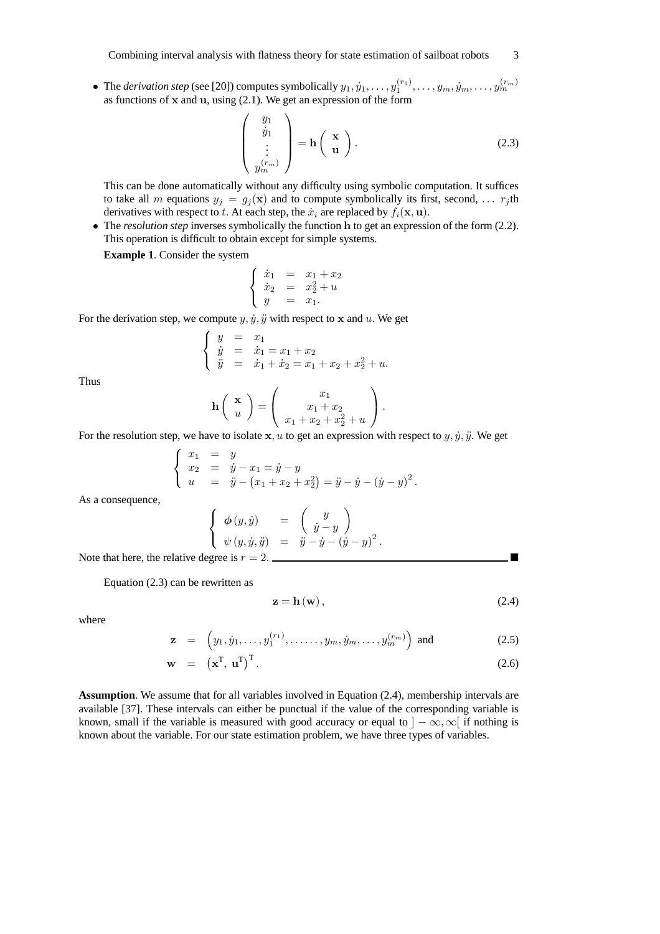• The *derivation step* (see [20]) computes symbolically  $y_1, \dot{y}_1, \ldots, y_1^{(r_1)}, \ldots, y_m, \dot{y}_m, \ldots, y_m^{(r_m)}$ as functions of  $x$  and  $u$ , using (2.1). We get an expression of the form

$$
\begin{pmatrix} y_1 \\ \dot{y}_1 \\ \vdots \\ y_m^{(r_m)} \end{pmatrix} = \mathbf{h} \begin{pmatrix} \mathbf{x} \\ \mathbf{u} \end{pmatrix}.
$$
 (2.3)

This can be done automatically without any difficulty using symbolic computation. It suffices to take all m equations  $y_j = g_j(\mathbf{x})$  and to compute symbolically its first, second, ...  $r_j$ th derivatives with respect to t. At each step, the  $\dot{x}_i$  are replaced by  $f_i(\mathbf{x}, \mathbf{u})$ .

• The *resolution step* inverses symbolically the function h to get an expression of the form (2.2). This operation is difficult to obtain except for simple systems.

**Example 1**. Consider the system

$$
\begin{cases}\n\dot{x}_1 = x_1 + x_2 \\
\dot{x}_2 = x_2^2 + u \\
y = x_1.\n\end{cases}
$$

For the derivation step, we compute  $y, \dot{y}, \ddot{y}$  with respect to x and u. We get

$$
\begin{cases}\n y &=& x_1 \\
 \dot{y} &=& \dot{x}_1 = x_1 + x_2 \\
 \ddot{y} &=& \dot{x}_1 + \dot{x}_2 = x_1 + x_2 + x_2^2 + u.\n\end{cases}
$$

Thus

$$
\mathbf{h}\left(\begin{array}{c}\mathbf{x}\\u\end{array}\right)=\left(\begin{array}{c}x_1\\x_1+x_2\\x_1+x_2+x_2^2+u\end{array}\right).
$$

For the resolution step, we have to isolate x, u to get an expression with respect to y,  $\dot{y}$ ,  $\ddot{y}$ . We get

$$
\begin{cases}\nx_1 = y \\
x_2 = \dot{y} - x_1 = \dot{y} - y \\
u = \ddot{y} - (x_1 + x_2 + x_2^2) = \ddot{y} - (\dot{y} - y)^2.\n\end{cases}
$$

As a consequence,

$$
\begin{cases}\n\phi(y,\dot{y}) = \begin{pmatrix} y \\
\dot{y}-y \end{pmatrix} \\
\psi(y,\dot{y},\ddot{y}) = \ddot{y}-\dot{y}-(\dot{y}-y)^2.\n\end{cases}
$$

Note that here, the relative degree is  $r = 2$ .

Equation (2.3) can be rewritten as

$$
z = h(w), \tag{2.4}
$$

where

$$
\mathbf{z} = (y_1, y_1, \dots, y_1^{(r_1)}, \dots, y_m, y_m, \dots, y_m^{(r_m)}) \text{ and } (2.5)
$$

$$
\mathbf{w} = (\mathbf{x}^{\mathrm{T}}, \mathbf{u}^{\mathrm{T}})^{\mathrm{T}}.
$$
 (2.6)

**Assumption**. We assume that for all variables involved in Equation (2.4), membership intervals are available [37]. These intervals can either be punctual if the value of the corresponding variable is known, small if the variable is measured with good accuracy or equal to  $|-\infty,\infty|$  if nothing is known about the variable. For our state estimation problem, we have three types of variables.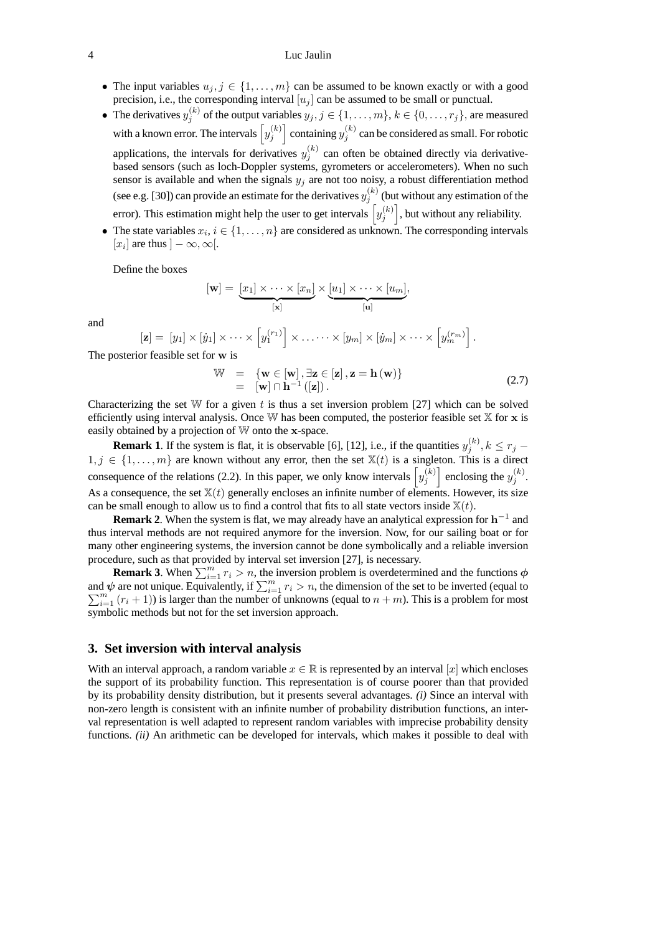#### 4 Luc Jaulin

- The input variables  $u_j, j \in \{1, \ldots, m\}$  can be assumed to be known exactly or with a good precision, i.e., the corresponding interval  $[u_i]$  can be assumed to be small or punctual.
- The derivatives  $y_j^{(k)}$  of the output variables  $y_j, j \in \{1, ..., m\}$ ,  $k \in \{0, ..., r_j\}$ , are measured with a known error. The intervals  $\left[y_j^{(k)}\right]$  containing  $y_j^{(k)}$  can be considered as small. For robotic applications, the intervals for derivatives  $y_j^{(k)}$  can often be obtained directly via derivativebased sensors (such as loch-Doppler systems, gyrometers or accelerometers). When no such sensor is available and when the signals  $y_j$  are not too noisy, a robust differentiation method (see e.g. [30]) can provide an estimate for the derivatives  $y_j^{(k)}$  (but without any estimation of the error). This estimation might help the user to get intervals  $[y_j^{(k)}]$ , but without any reliability.
- The state variables  $x_i, i \in \{1, \ldots, n\}$  are considered as unknown. The corresponding intervals [ $x_i$ ] are thus ] –  $\infty, \infty$ [.

Define the boxes

$$
[\mathbf{w}] = \underbrace{[x_1] \times \cdots \times [x_n]}_{[\mathbf{x}]} \times \underbrace{[u_1] \times \cdots \times [u_m]}_{[\mathbf{u}]},
$$

and

$$
[\mathbf{z}] = [y_1] \times [\dot{y}_1] \times \cdots \times [y_1^{(r_1)}] \times \cdots \times [y_m] \times [\dot{y}_m] \times \cdots \times [y_m^{(r_m)}].
$$

The posterior feasible set for w is

$$
\mathbb{W} = \{ \mathbf{w} \in [\mathbf{w}], \exists \mathbf{z} \in [\mathbf{z}], \mathbf{z} = \mathbf{h}(\mathbf{w}) \} \n= [\mathbf{w}] \cap \mathbf{h}^{-1}([\mathbf{z}]).
$$
\n(2.7)

Characterizing the set W for a given t is thus a set inversion problem [27] which can be solved efficiently using interval analysis. Once W has been computed, the posterior feasible set  $X$  for  $x$  is easily obtained by a projection of W onto the x-space.

**Remark 1.** If the system is flat, it is observable [6], [12], i.e., if the quantities  $y_j^{(k)}$ ,  $k \le r_j$  –  $1, j \in \{1, \ldots, m\}$  are known without any error, then the set  $\mathbb{X}(t)$  is a singleton. This is a direct consequence of the relations (2.2). In this paper, we only know intervals  $[y_j^{(k)}]$  enclosing the  $y_j^{(k)}$ . As a consequence, the set  $\mathbb{X}(t)$  generally encloses an infinite number of elements. However, its size can be small enough to allow us to find a control that fits to all state vectors inside  $\mathbb{X}(t)$ .

**Remark 2.** When the system is flat, we may already have an analytical expression for  $h^{-1}$  and thus interval methods are not required anymore for the inversion. Now, for our sailing boat or for many other engineering systems, the inversion cannot be done symbolically and a reliable inversion procedure, such as that provided by interval set inversion [27], is necessary.

**Remark 3**. When  $\sum_{i=1}^{m} r_i > n$ , the inversion problem is overdetermined and the functions  $\phi$ and  $\psi$  are not unique. Equivalently, if  $\sum_{i=1}^{m} r_i > n$ , the dimension of the set to be inverted (equal to  $\sum_{i=1}^{m} (n+1)$ ) is legger than the number of unknowns (equal to  $n + m$ ). This is a problem for most  $\sum_{i=1}^{m} (r_i + 1)$ ) is larger than the number of unknowns (equal to  $n + m$ ). This is a problem for most symbolic methods but not for the set inversion approach.

## **3. Set inversion with interval analysis**

With an interval approach, a random variable  $x \in \mathbb{R}$  is represented by an interval [x] which encloses the support of its probability function. This representation is of course poorer than that provided by its probability density distribution, but it presents several advantages. *(i)* Since an interval with non-zero length is consistent with an infinite number of probability distribution functions, an interval representation is well adapted to represent random variables with imprecise probability density functions. *(ii)* An arithmetic can be developed for intervals, which makes it possible to deal with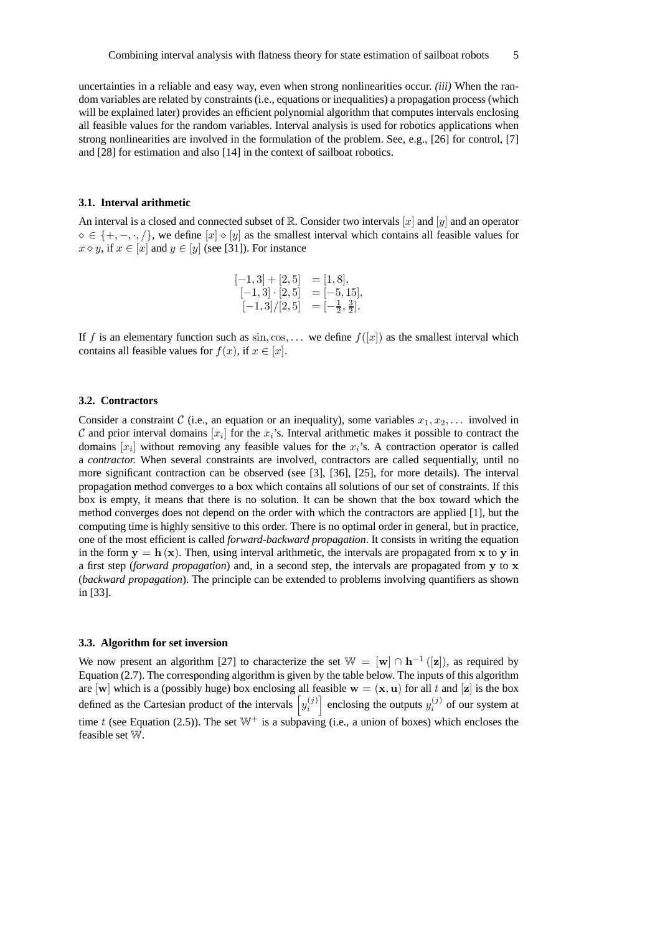uncertainties in a reliable and easy way, even when strong nonlinearities occur. *(iii)* When the random variables are related by constraints (i.e., equations or inequalities) a propagation process (which will be explained later) provides an efficient polynomial algorithm that computes intervals enclosing all feasible values for the random variables. Interval analysis is used for robotics applications when strong nonlinearities are involved in the formulation of the problem. See, e.g., [26] for control, [7] and [28] for estimation and also [14] in the context of sailboat robotics.

#### **3.1. Interval arithmetic**

An interval is a closed and connected subset of  $\mathbb R$ . Consider two intervals  $[x]$  and  $[y]$  and an operator  $\diamond \in \{+, -, \cdot, /\},\$  we define  $[x] \diamond [y]$  as the smallest interval which contains all feasible values for  $x \diamond y$ , if  $x \in [x]$  and  $y \in [y]$  (see [31]). For instance

$$
\begin{array}{rcl}\n[-1,3] + [2,5] & = [1,8], \\
[-1,3] \cdot [2,5] & = [-5,15], \\
[-1,3]/[2,5] & = [-\frac{1}{2},\frac{3}{2}].\n\end{array}
$$

If f is an elementary function such as  $sin, cos, \ldots$  we define  $f([x])$  as the smallest interval which contains all feasible values for  $f(x)$ , if  $x \in [x]$ .

#### **3.2. Contractors**

Consider a constraint C (i.e., an equation or an inequality), some variables  $x_1, x_2, \ldots$  involved in C and prior interval domains  $[x_i]$  for the  $x_i$ 's. Interval arithmetic makes it possible to contract the domains  $[x_i]$  without removing any feasible values for the  $x_i$ 's. A contraction operator is called a *contractor.* When several constraints are involved, contractors are called sequentially, until no more significant contraction can be observed (see [3], [36], [25], for more details). The interval propagation method converges to a box which contains all solutions of our set of constraints. If this box is empty, it means that there is no solution. It can be shown that the box toward which the method converges does not depend on the order with which the contractors are applied [1], but the computing time is highly sensitive to this order. There is no optimal order in general, but in practice, one of the most efficient is called *forward-backward propagation*. It consists in writing the equation in the form  $y = h(x)$ . Then, using interval arithmetic, the intervals are propagated from x to y in a first step (*forward propagation*) and, in a second step, the intervals are propagated from y to x (*backward propagation*). The principle can be extended to problems involving quantifiers as shown in [33].

#### **3.3. Algorithm for set inversion**

We now present an algorithm [27] to characterize the set  $\mathbb{W} = [\mathbf{w}] \cap \mathbf{h}^{-1}([\mathbf{z}])$ , as required by Equation (2.7). The corresponding algorithm is given by the table below. The inputs of this algorithm are [w] which is a (possibly huge) box enclosing all feasible  $w = (x, u)$  for all t and [z] is the box defined as the Cartesian product of the intervals  $[y_i^{(j)}]$  enclosing the outputs  $y_i^{(j)}$  of our system at time t (see Equation (2.5)). The set  $\mathbb{W}^+$  is a subpaving (i.e., a union of boxes) which encloses the feasible set W.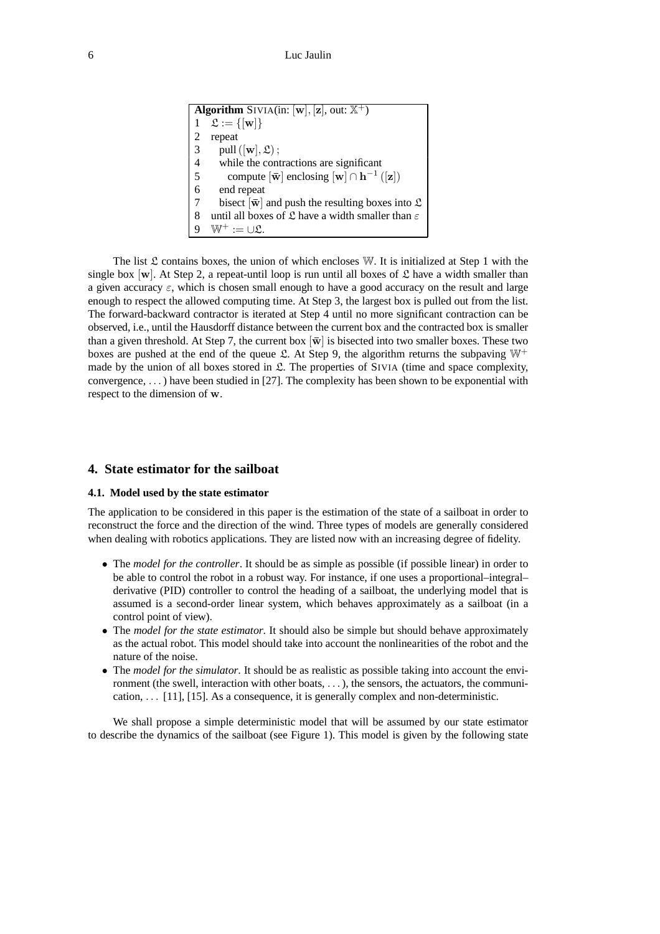| <b>Algorithm</b> SIVIA(in: $[w]$ , $[z]$ , out: $\mathbb{X}^+$ ) |                                                                                         |
|------------------------------------------------------------------|-----------------------------------------------------------------------------------------|
| 1                                                                | $\mathfrak{L} := \{[\mathbf{w}]\}\$                                                     |
| 2                                                                | repeat                                                                                  |
| 3                                                                | pull $([\mathbf{w}], \mathfrak{L})$ ;                                                   |
| $\overline{4}$                                                   | while the contractions are significant                                                  |
| 5                                                                | compute $\bar{w}$ enclosing $[w] \cap h^{-1}([z])$                                      |
| 6                                                                | end repeat                                                                              |
| 7                                                                | bisect $\left[\mathbf{\bar{w}}\right]$ and push the resulting boxes into $\mathfrak{L}$ |
| 8                                                                | until all boxes of $\mathfrak L$ have a width smaller than $\varepsilon$                |
|                                                                  | $\mathbb{W}^+:=\cup \mathfrak{L}$ .                                                     |

The list  $\mathfrak L$  contains boxes, the union of which encloses W. It is initialized at Step 1 with the single box [w]. At Step 2, a repeat-until loop is run until all boxes of  $\mathfrak L$  have a width smaller than a given accuracy  $\varepsilon$ , which is chosen small enough to have a good accuracy on the result and large enough to respect the allowed computing time. At Step 3, the largest box is pulled out from the list. The forward-backward contractor is iterated at Step 4 until no more significant contraction can be observed, i.e., until the Hausdorff distance between the current box and the contracted box is smaller than a given threshold. At Step 7, the current box  $\overline{w}$  is bisected into two smaller boxes. These two boxes are pushed at the end of the queue  $\mathfrak{L}$ . At Step 9, the algorithm returns the subpaving  $\mathbb{W}^+$ made by the union of all boxes stored in  $\mathfrak{L}$ . The properties of SIVIA (time and space complexity, convergence, . . .) have been studied in [27]. The complexity has been shown to be exponential with respect to the dimension of w.

## **4. State estimator for the sailboat**

#### **4.1. Model used by the state estimator**

The application to be considered in this paper is the estimation of the state of a sailboat in order to reconstruct the force and the direction of the wind. Three types of models are generally considered when dealing with robotics applications. They are listed now with an increasing degree of fidelity.

- The *model for the controller*. It should be as simple as possible (if possible linear) in order to be able to control the robot in a robust way. For instance, if one uses a proportional–integral– derivative (PID) controller to control the heading of a sailboat, the underlying model that is assumed is a second-order linear system, which behaves approximately as a sailboat (in a control point of view).
- The *model for the state estimator*. It should also be simple but should behave approximately as the actual robot. This model should take into account the nonlinearities of the robot and the nature of the noise.
- The *model for the simulator*. It should be as realistic as possible taking into account the environment (the swell, interaction with other boats, . . .), the sensors, the actuators, the communication,  $\dots$  [11], [15]. As a consequence, it is generally complex and non-deterministic.

We shall propose a simple deterministic model that will be assumed by our state estimator to describe the dynamics of the sailboat (see Figure 1). This model is given by the following state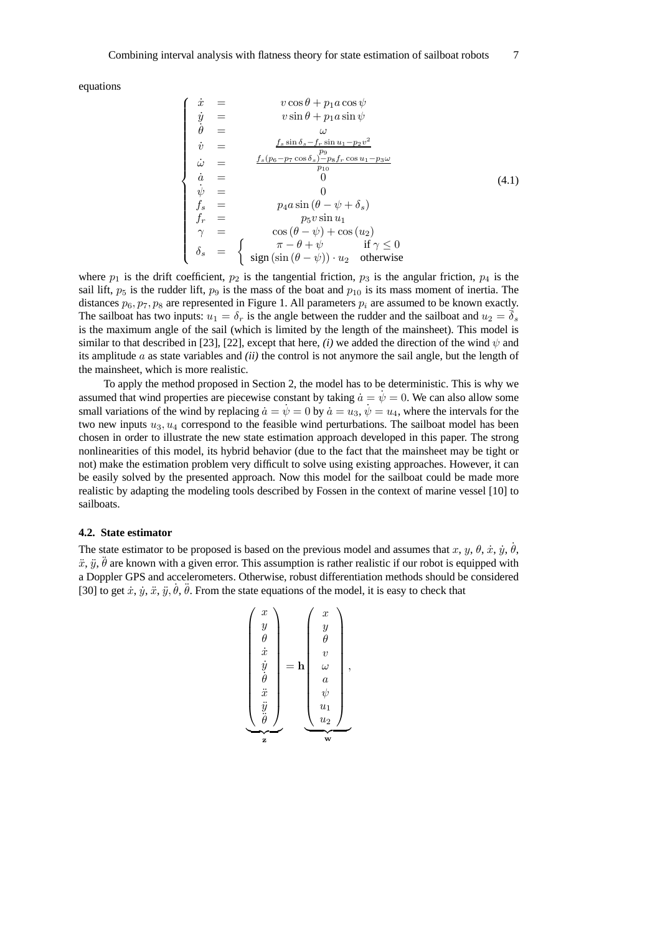equations

$$
\begin{cases}\n\dot{x} = v \cos \theta + p_1 a \cos \psi \\
\dot{y} = v \sin \theta + p_1 a \sin \psi \\
\dot{\theta} = \omega \\
\dot{v} = \frac{f_s \sin \delta_s - f_r \sin u_1 - p_2 v^2}{p_9} \\
\dot{\omega} = \frac{f_s (p_6 - p_7 \cos \delta_s) - p_8 f_r \cos u_1 - p_3 \omega}{p_{10}} \\
\dot{a} = 0 \\
\dot{\psi} = 0 \\
f_s = p_4 a \sin (\theta - \psi + \delta_s) \\
f_r = p_5 v \sin u_1 \\
\gamma = \cos (\theta - \psi) + \cos (u_2) \\
\delta_s = \begin{cases}\n\pi - \theta + \psi & \text{if } \gamma \le 0 \\
\text{sign}(\sin (\theta - \psi)) \cdot u_2 & \text{otherwise}\n\end{cases}\n\end{cases} (4.1)
$$

 $)$ 

where  $p_1$  is the drift coefficient,  $p_2$  is the tangential friction,  $p_3$  is the angular friction,  $p_4$  is the sail lift,  $p_5$  is the rudder lift,  $p_9$  is the mass of the boat and  $p_{10}$  is its mass moment of inertia. The distances  $p_6, p_7, p_8$  are represented in Figure 1. All parameters  $p_i$  are assumed to be known exactly. The sailboat has two inputs:  $u_1 = \delta_r$  is the angle between the rudder and the sailboat and  $u_2 = \delta_s$ is the maximum angle of the sail (which is limited by the length of the mainsheet). This model is similar to that described in [23], [22], except that here, *(i)* we added the direction of the wind  $\psi$  and its amplitude a as state variables and *(ii)* the control is not anymore the sail angle, but the length of the mainsheet, which is more realistic.

To apply the method proposed in Section 2, the model has to be deterministic. This is why we assumed that wind properties are piecewise constant by taking  $\dot{a} = \dot{\psi} = 0$ . We can also allow some small variations of the wind by replacing  $\dot{a} = \dot{\psi} = 0$  by  $\dot{a} = u_3$ ,  $\dot{\psi} = u_4$ , where the intervals for the two new inputs  $u_3, u_4$  correspond to the feasible wind perturbations. The sailboat model has been chosen in order to illustrate the new state estimation approach developed in this paper. The strong nonlinearities of this model, its hybrid behavior (due to the fact that the mainsheet may be tight or not) make the estimation problem very difficult to solve using existing approaches. However, it can be easily solved by the presented approach. Now this model for the sailboat could be made more realistic by adapting the modeling tools described by Fossen in the context of marine vessel [10] to sailboats.

## **4.2. State estimator**

The state estimator to be proposed is based on the previous model and assumes that x, y,  $\theta$ , x̄, ȳ,  $\dot{\theta}$ ,  $\ddot{x}$ ,  $\ddot{y}$ ,  $\ddot{\theta}$  are known with a given error. This assumption is rather realistic if our robot is equipped with a Doppler GPS and accelerometers. Otherwise, robust differentiation methods should be considered [30] to get  $\dot{x}$ ,  $\dot{y}$ ,  $\ddot{x}$ ,  $\ddot{y}$ ,  $\ddot{\theta}$ . From the state equations of the model, it is easy to check that

$$
\begin{pmatrix}\nx \\
y \\
\theta \\
\dot{x} \\
\dot{y} \\
\dot{\theta} \\
\dot{x} \\
\ddot{\theta} \\
\dot{\theta} \\
\dot{\theta} \\
\dot{\theta} \\
\dot{\theta} \\
\dot{\theta} \\
\dot{\theta} \\
\dot{\theta} \\
\dot{\theta} \\
\dot{\theta} \\
\dot{\theta} \\
\dot{\theta} \\
\dot{\theta} \\
\dot{\theta} \\
\dot{\theta} \\
\dot{\theta} \\
\dot{\theta} \\
\dot{\theta} \\
\dot{\theta} \\
\dot{\theta} \\
\dot{\theta} \\
\dot{\theta} \\
\dot{\theta} \\
\dot{\theta} \\
\dot{\theta} \\
\dot{\theta} \\
\dot{\theta} \\
\dot{\theta} \\
\dot{\theta} \\
\dot{\theta} \\
\dot{\theta} \\
\dot{\theta} \\
\dot{\theta} \\
\dot{\theta} \\
\dot{\theta} \\
\dot{\theta} \\
\dot{\theta} \\
\dot{\theta} \\
\dot{\theta} \\
\dot{\theta} \\
\dot{\theta} \\
\dot{\theta} \\
\dot{\theta} \\
\dot{\theta} \\
\dot{\theta} \\
\dot{\theta} \\
\dot{\theta} \\
\dot{\theta} \\
\dot{\theta} \\
\dot{\theta} \\
\dot{\theta} \\
\dot{\theta} \\
\dot{\theta} \\
\dot{\theta} \\
\dot{\theta} \\
\dot{\theta} \\
\dot{\theta} \\
\dot{\theta} \\
\dot{\theta} \\
\dot{\theta} \\
\dot{\theta} \\
\dot{\theta} \\
\dot{\theta} \\
\dot{\theta} \\
\dot{\theta} \\
\dot{\theta} \\
\dot{\theta} \\
\dot{\theta} \\
\dot{\theta} \\
\dot{\theta} \\
\dot{\theta} \\
\dot{\theta} \\
\dot{\theta} \\
\dot{\theta} \\
\dot{\theta} \\
\dot{\theta} \\
\dot{\theta} \\
\dot{\theta} \\
\dot{\theta} \\
\dot{\theta} \\
\dot{\theta} \\
\dot{\theta} \\
\dot{\theta} \\
\dot{\theta} \\
\dot{\theta} \\
\dot{\theta} \\
\dot{\theta} \\
\dot{\theta} \\
\dot{\theta} \\
\dot{\theta} \\
\dot{\theta} \\
\dot{\theta} \\
\dot{\theta} \\
\dot{\theta} \\
\dot{\theta} \\
\dot{\theta} \\
\dot{\theta} \\
\dot{\theta} \\
\dot{\theta} \\
\dot{\theta} \\
\dot{\theta} \\
\dot{\theta} \\
\dot{\theta} \\
\dot{\theta} \\
\dot{\theta} \\
\dot{\theta} \\
\dot{\theta} \\
\dot{\theta} \\
\dot{\theta} \\
\dot{\theta} \\
\dot{\theta} \\
\dot{\theta} \\
\dot{\theta} \\
\dot{\theta} \\
\dot{\theta} \\
\dot{\theta} \\
\dot{\theta} \\
\dot{\theta} \\
\dot{\theta} \\
\dot{\theta} \\
\dot{\theta
$$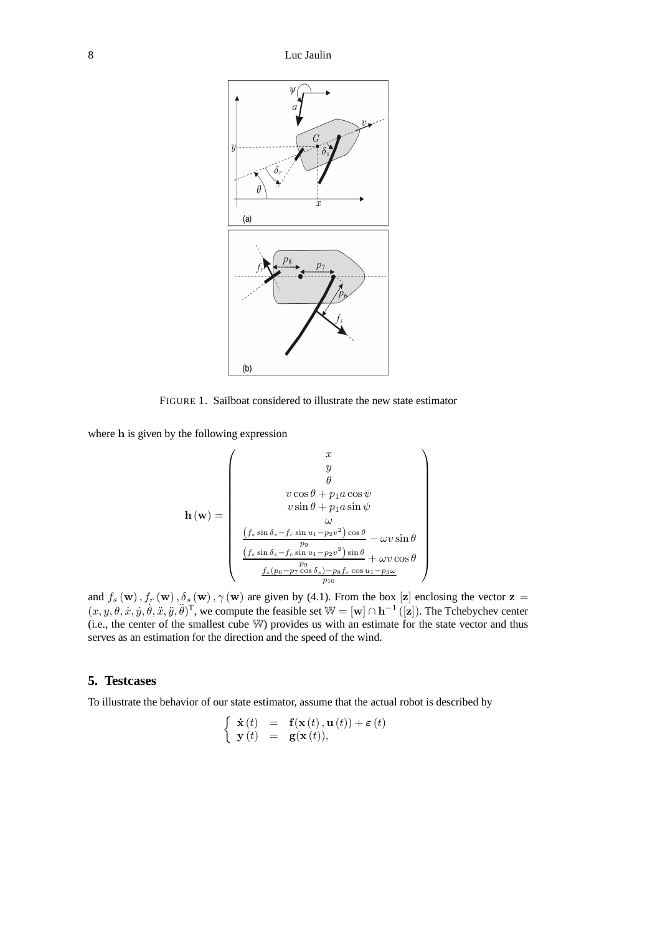

FIGURE 1. Sailboat considered to illustrate the new state estimator

where h is given by the following expression

$$
\mathbf{h}(\mathbf{w}) = \begin{pmatrix} x \\ y \\ \theta \\ v \cos \theta + p_1 a \cos \psi \\ v \sin \theta + p_1 a \sin \psi \\ \omega \\ \frac{(f_s \sin \delta_s - f_r \sin u_1 - p_2 v^2) \cos \theta}{p_9} - \omega v \sin \theta \\ \frac{(f_s \sin \delta_s - f_r \sin u_1 - p_2 v^2) \sin \theta}{p_9} + \omega v \cos \theta \\ \frac{f_s (p_6 - p_7 \cos \delta_s) - p_8 f_r \cos u_1 - p_3 \omega}{p_{10}} \end{pmatrix}
$$

and  $f_s(\mathbf{w})$ ,  $f_r(\mathbf{w})$ ,  $\delta_s(\mathbf{w})$ ,  $\gamma(\mathbf{w})$  are given by (4.1). From the box [z] enclosing the vector  $\mathbf{z} =$  $(x, y, \theta, x, y, \dot{\theta}, \ddot{x}, \dddot{y}, \dddot{\theta})^T$ , we compute the feasible set  $\mathbb{W} = [\mathbf{w}] \cap \mathbf{h}^{-1}([\mathbf{z}])$ . The Tchebychev center (i.e., the center of the smallest cube W) provides us with an estimate for the state vector and thus serves as an estimation for the direction and the speed of the wind.

# **5. Testcases**

To illustrate the behavior of our state estimator, assume that the actual robot is described by

$$
\left\{\begin{array}{rcl} \dot{\mathbf{x}}(t) & = & \mathbf{f}(\mathbf{x}(t), \mathbf{u}(t)) + \varepsilon(t) \\ \mathbf{y}(t) & = & \mathbf{g}(\mathbf{x}(t)), \end{array}\right.
$$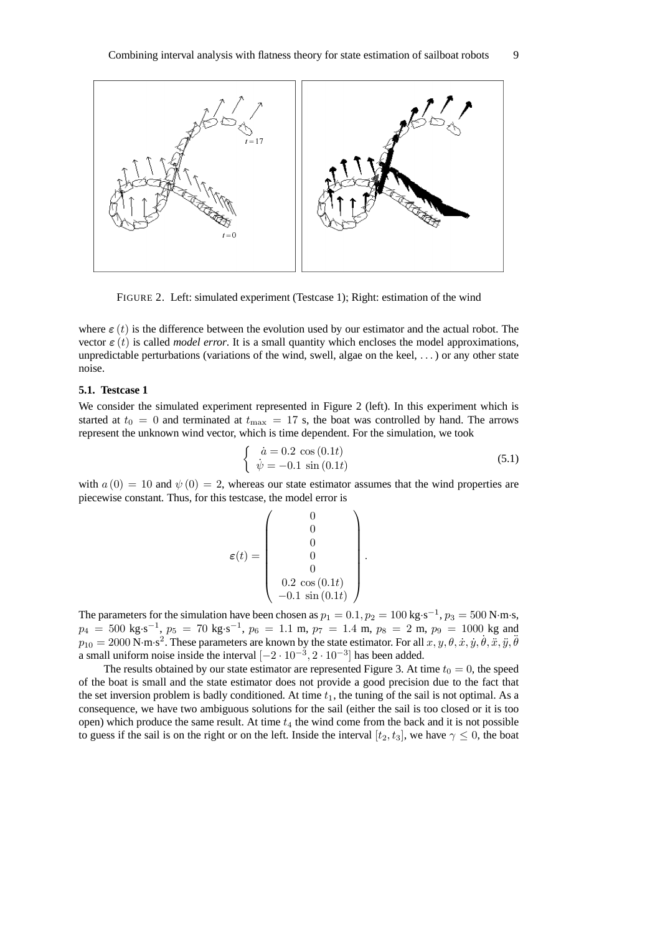

FIGURE 2. Left: simulated experiment (Testcase 1); Right: estimation of the wind

where  $\epsilon(t)$  is the difference between the evolution used by our estimator and the actual robot. The vector  $\varepsilon(t)$  is called *model error*. It is a small quantity which encloses the model approximations, unpredictable perturbations (variations of the wind, swell, algae on the keel, . . .) or any other state noise.

#### **5.1. Testcase 1**

We consider the simulated experiment represented in Figure 2 (left). In this experiment which is started at  $t_0 = 0$  and terminated at  $t_{\text{max}} = 17$  s, the boat was controlled by hand. The arrows represent the unknown wind vector, which is time dependent. For the simulation, we took

$$
\begin{cases}\n\dot{a} = 0.2 \cos(0.1t) \\
\dot{\psi} = -0.1 \sin(0.1t)\n\end{cases}
$$
\n(5.1)

.

with  $a(0) = 10$  and  $\psi(0) = 2$ , whereas our state estimator assumes that the wind properties are piecewise constant*.* Thus, for this testcase, the model error is

$$
\varepsilon(t) = \left(\begin{array}{c} 0 \\ 0 \\ 0 \\ 0 \\ 0 \\ 0.2 \cos(0.1t) \\ -0.1 \sin(0.1t) \end{array}\right)
$$

The parameters for the simulation have been chosen as  $p_1 = 0.1, p_2 = 100 \text{ kg} \cdot \text{s}^{-1}, p_3 = 500 \text{ N} \cdot \text{m} \cdot \text{s}$ ,  $p_4 = 500 \text{ kg} \cdot \text{s}^{-1}$ ,  $p_5 = 70 \text{ kg} \cdot \text{s}^{-1}$ ,  $p_6 = 1.1 \text{ m}$ ,  $p_7 = 1.4 \text{ m}$ ,  $p_8 = 2 \text{ m}$ ,  $p_9 = 1000 \text{ kg}$  and  $p_{10} = 2000 \text{ N} \cdot \text{m} \cdot \text{s}^2$ . These parameters are known by the state estimator. For all  $x, y, \theta, \dot{x}, \dot{y}, \dot{\theta}, \ddot{x}, \ddot{y}, \ddot{\theta}$ a small uniform noise inside the interval  $[-2 \cdot 10^{-3}, 2 \cdot 10^{-3}]$  has been added.

The results obtained by our state estimator are represented Figure 3. At time  $t_0 = 0$ , the speed of the boat is small and the state estimator does not provide a good precision due to the fact that the set inversion problem is badly conditioned. At time  $t_1$ , the tuning of the sail is not optimal. As a consequence, we have two ambiguous solutions for the sail (either the sail is too closed or it is too open) which produce the same result. At time  $t_4$  the wind come from the back and it is not possible to guess if the sail is on the right or on the left. Inside the interval  $[t_2, t_3]$ , we have  $\gamma \leq 0$ , the boat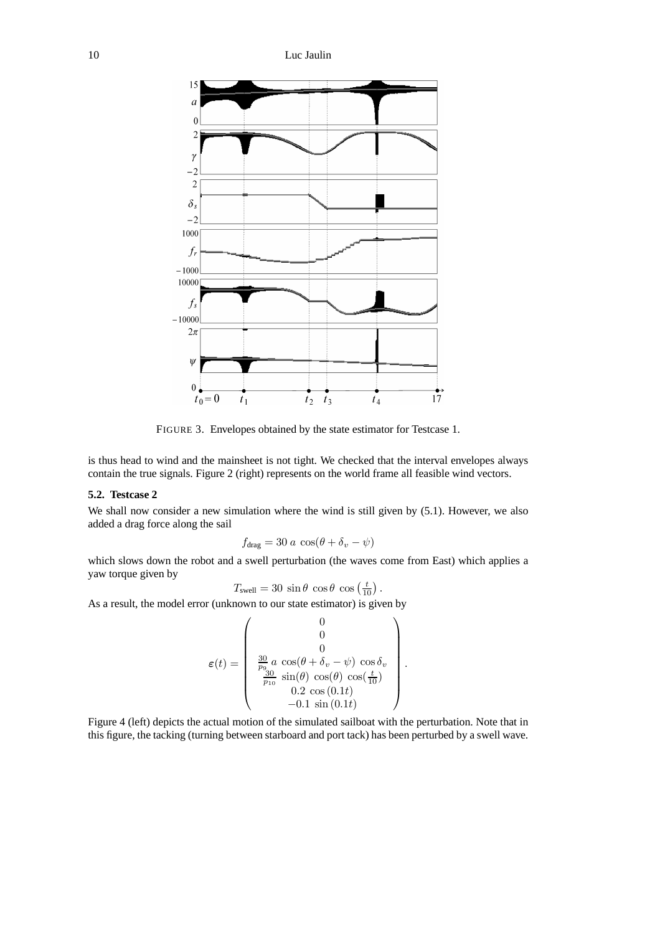

FIGURE 3. Envelopes obtained by the state estimator for Testcase 1.

is thus head to wind and the mainsheet is not tight. We checked that the interval envelopes always contain the true signals. Figure 2 (right) represents on the world frame all feasible wind vectors.

## **5.2. Testcase 2**

We shall now consider a new simulation where the wind is still given by  $(5.1)$ . However, we also added a drag force along the sail

$$
f_{\text{drag}} = 30 a \cos(\theta + \delta_v - \psi)
$$

which slows down the robot and a swell perturbation (the waves come from East) which applies a yaw torque given by

$$
T_{\text{swell}} = 30 \, \sin \theta \, \cos \theta \, \cos \left(\frac{t}{10}\right).
$$

As a result, the model error (unknown to our state estimator) is given by

$$
\varepsilon(t) = \left(\begin{array}{c} 0 \\ 0 \\ 0 \\ \frac{30}{p_9}a\, \cos(\theta + \delta_v - \psi)\, \cos\delta_v \\ \frac{30}{p_{10}}\, \sin(\theta)\, \cos(\theta)\, \cos(\frac{t}{10}) \\ 0.2\, \cos(0.1t) \\ -0.1\, \sin(0.1t) \end{array}\right)
$$

.

Figure 4 (left) depicts the actual motion of the simulated sailboat with the perturbation. Note that in this figure, the tacking (turning between starboard and port tack) has been perturbed by a swell wave.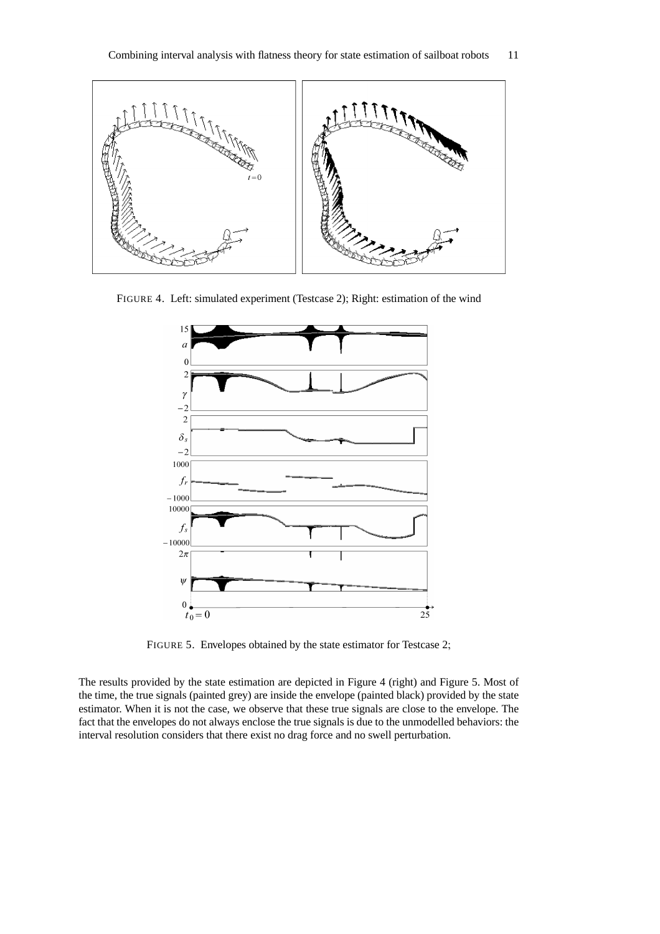

FIGURE 4. Left: simulated experiment (Testcase 2); Right: estimation of the wind



FIGURE 5. Envelopes obtained by the state estimator for Testcase 2;

The results provided by the state estimation are depicted in Figure 4 (right) and Figure 5. Most of the time, the true signals (painted grey) are inside the envelope (painted black) provided by the state estimator. When it is not the case, we observe that these true signals are close to the envelope. The fact that the envelopes do not always enclose the true signals is due to the unmodelled behaviors: the interval resolution considers that there exist no drag force and no swell perturbation.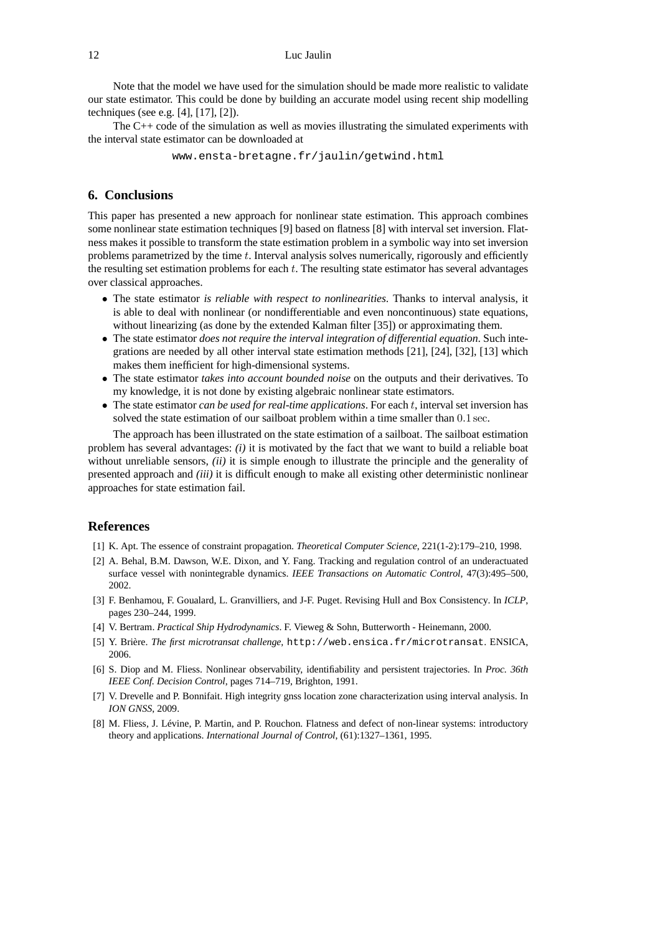#### 12 Luc Jaulin

Note that the model we have used for the simulation should be made more realistic to validate our state estimator. This could be done by building an accurate model using recent ship modelling techniques (see e.g. [4], [17], [2]).

The C++ code of the simulation as well as movies illustrating the simulated experiments with the interval state estimator can be downloaded at

www.ensta-bretagne.fr/jaulin/getwind.html

## **6. Conclusions**

This paper has presented a new approach for nonlinear state estimation. This approach combines some nonlinear state estimation techniques [9] based on flatness [8] with interval set inversion. Flatness makes it possible to transform the state estimation problem in a symbolic way into set inversion problems parametrized by the time  $t$ . Interval analysis solves numerically, rigorously and efficiently the resulting set estimation problems for each  $t$ . The resulting state estimator has several advantages over classical approaches.

- The state estimator *is reliable with respect to nonlinearities*. Thanks to interval analysis, it is able to deal with nonlinear (or nondifferentiable and even noncontinuous) state equations, without linearizing (as done by the extended Kalman filter [35]) or approximating them.
- The state estimator *does not require the interval integration of differential equation*. Such integrations are needed by all other interval state estimation methods [21], [24], [32], [13] which makes them inefficient for high-dimensional systems.
- The state estimator *takes into account bounded noise* on the outputs and their derivatives. To my knowledge, it is not done by existing algebraic nonlinear state estimators.
- The state estimator *can be used for real-time applications*. For each t, interval set inversion has solved the state estimation of our sailboat problem within a time smaller than 0.1 sec.

The approach has been illustrated on the state estimation of a sailboat. The sailboat estimation problem has several advantages: *(i)* it is motivated by the fact that we want to build a reliable boat without unreliable sensors, *(ii)* it is simple enough to illustrate the principle and the generality of presented approach and *(iii)* it is difficult enough to make all existing other deterministic nonlinear approaches for state estimation fail.

### **References**

- [1] K. Apt. The essence of constraint propagation. *Theoretical Computer Science*, 221(1-2):179–210, 1998.
- [2] A. Behal, B.M. Dawson, W.E. Dixon, and Y. Fang. Tracking and regulation control of an underactuated surface vessel with nonintegrable dynamics. *IEEE Transactions on Automatic Control*, 47(3):495–500, 2002.
- [3] F. Benhamou, F. Goualard, L. Granvilliers, and J-F. Puget. Revising Hull and Box Consistency. In *ICLP*, pages 230–244, 1999.
- [4] V. Bertram. *Practical Ship Hydrodynamics*. F. Vieweg & Sohn, Butterworth Heinemann, 2000.
- [5] Y. Brière. *The first microtransat challenge,* http://web.ensica.fr/microtransat. ENSICA, 2006.
- [6] S. Diop and M. Fliess. Nonlinear observability, identifiability and persistent trajectories. In *Proc. 36th IEEE Conf. Decision Control*, pages 714–719, Brighton, 1991.
- [7] V. Drevelle and P. Bonnifait. High integrity gnss location zone characterization using interval analysis. In *ION GNSS*, 2009.
- [8] M. Fliess, J. Lévine, P. Martin, and P. Rouchon. Flatness and defect of non-linear systems: introductory theory and applications. *International Journal of Control*, (61):1327–1361, 1995.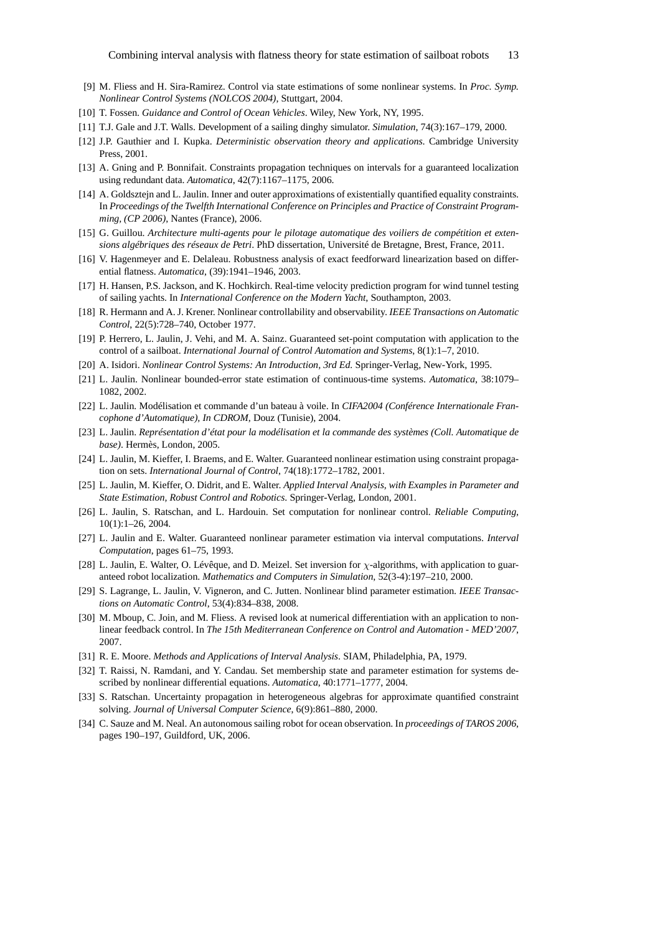- [9] M. Fliess and H. Sira-Ramirez. Control via state estimations of some nonlinear systems. In *Proc. Symp. Nonlinear Control Systems (NOLCOS 2004)*, Stuttgart, 2004.
- [10] T. Fossen. *Guidance and Control of Ocean Vehicles*. Wiley, New York, NY, 1995.
- [11] T.J. Gale and J.T. Walls. Development of a sailing dinghy simulator. *Simulation*, 74(3):167–179, 2000.
- [12] J.P. Gauthier and I. Kupka. *Deterministic observation theory and applications*. Cambridge University Press, 2001.
- [13] A. Gning and P. Bonnifait. Constraints propagation techniques on intervals for a guaranteed localization using redundant data. *Automatica*, 42(7):1167–1175, 2006.
- [14] A. Goldsztejn and L. Jaulin. Inner and outer approximations of existentially quantified equality constraints. In *Proceedings of the Twelfth International Conference on Principles and Practice of Constraint Programming, (CP 2006)*, Nantes (France), 2006.
- [15] G. Guillou. *Architecture multi-agents pour le pilotage automatique des voiliers de compétition et extensions algébriques des réseaux de Petri*. PhD dissertation, Université de Bretagne, Brest, France, 2011.
- [16] V. Hagenmeyer and E. Delaleau. Robustness analysis of exact feedforward linearization based on differential flatness. *Automatica*, (39):1941–1946, 2003.
- [17] H. Hansen, P.S. Jackson, and K. Hochkirch. Real-time velocity prediction program for wind tunnel testing of sailing yachts. In *International Conference on the Modern Yacht*, Southampton, 2003.
- [18] R. Hermann and A. J. Krener. Nonlinear controllability and observability. *IEEE Transactions on Automatic Control*, 22(5):728–740, October 1977.
- [19] P. Herrero, L. Jaulin, J. Vehi, and M. A. Sainz. Guaranteed set-point computation with application to the control of a sailboat. *International Journal of Control Automation and Systems*, 8(1):1–7, 2010.
- [20] A. Isidori. *Nonlinear Control Systems: An Introduction, 3rd Ed.* Springer-Verlag, New-York, 1995.
- [21] L. Jaulin. Nonlinear bounded-error state estimation of continuous-time systems. *Automatica*, 38:1079– 1082, 2002.
- [22] L. Jaulin. Modélisation et commande d'un bateau à voile. In *CIFA2004 (Conférence Internationale Francophone d'Automatique), In CDROM*, Douz (Tunisie), 2004.
- [23] L. Jaulin. *Représentation d'état pour la modélisation et la commande des systèmes (Coll. Automatique de base)*. Hermès, London, 2005.
- [24] L. Jaulin, M. Kieffer, I. Braems, and E. Walter. Guaranteed nonlinear estimation using constraint propagation on sets. *International Journal of Control*, 74(18):1772–1782, 2001.
- [25] L. Jaulin, M. Kieffer, O. Didrit, and E. Walter. *Applied Interval Analysis, with Examples in Parameter and State Estimation, Robust Control and Robotics*. Springer-Verlag, London, 2001.
- [26] L. Jaulin, S. Ratschan, and L. Hardouin. Set computation for nonlinear control. *Reliable Computing*, 10(1):1–26, 2004.
- [27] L. Jaulin and E. Walter. Guaranteed nonlinear parameter estimation via interval computations. *Interval Computation*, pages 61–75, 1993.
- [28] L. Jaulin, E. Walter, O. Lévêque, and D. Meizel. Set inversion for  $\chi$ -algorithms, with application to guaranteed robot localization. *Mathematics and Computers in Simulation*, 52(3-4):197–210, 2000.
- [29] S. Lagrange, L. Jaulin, V. Vigneron, and C. Jutten. Nonlinear blind parameter estimation. *IEEE Transactions on Automatic Control*, 53(4):834–838, 2008.
- [30] M. Mboup, C. Join, and M. Fliess. A revised look at numerical differentiation with an application to nonlinear feedback control. In *The 15th Mediterranean Conference on Control and Automation - MED'2007*, 2007.
- [31] R. E. Moore. *Methods and Applications of Interval Analysis*. SIAM, Philadelphia, PA, 1979.
- [32] T. Raissi, N. Ramdani, and Y. Candau. Set membership state and parameter estimation for systems described by nonlinear differential equations. *Automatica*, 40:1771–1777, 2004.
- [33] S. Ratschan. Uncertainty propagation in heterogeneous algebras for approximate quantified constraint solving. *Journal of Universal Computer Science*, 6(9):861–880, 2000.
- [34] C. Sauze and M. Neal. An autonomous sailing robot for ocean observation. In *proceedings of TAROS 2006*, pages 190–197, Guildford, UK, 2006.